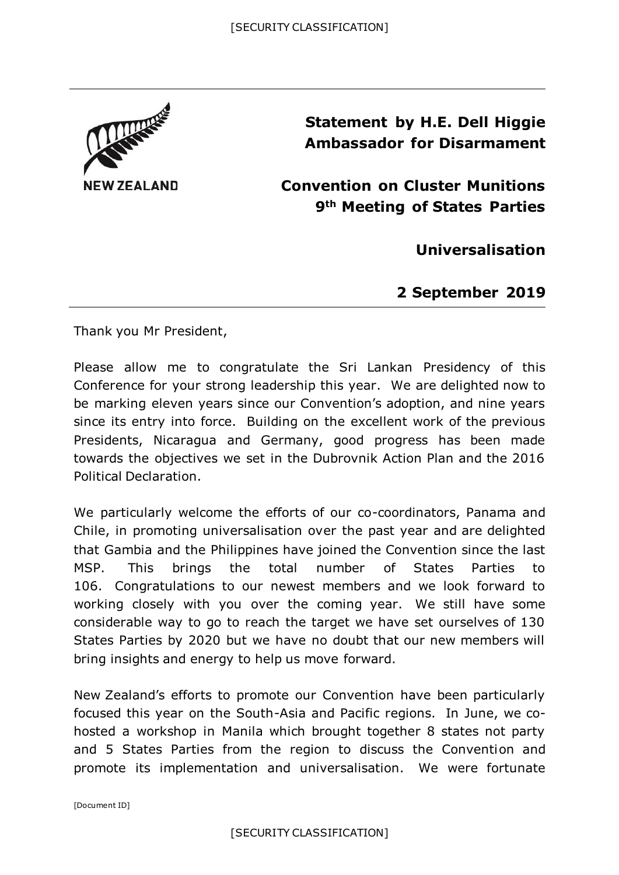

**Statement by H.E. Dell Higgie Ambassador for Disarmament**

**Convention on Cluster Munitions 9th Meeting of States Parties**

**Universalisation**

**2 September 2019**

Thank you Mr President,

Please allow me to congratulate the Sri Lankan Presidency of this Conference for your strong leadership this year. We are delighted now to be marking eleven years since our Convention's adoption, and nine years since its entry into force. Building on the excellent work of the previous Presidents, Nicaragua and Germany, good progress has been made towards the objectives we set in the Dubrovnik Action Plan and the 2016 Political Declaration.

We particularly welcome the efforts of our co-coordinators, Panama and Chile, in promoting universalisation over the past year and are delighted that Gambia and the Philippines have joined the Convention since the last MSP. This brings the total number of States Parties to 106. Congratulations to our newest members and we look forward to working closely with you over the coming year. We still have some considerable way to go to reach the target we have set ourselves of 130 States Parties by 2020 but we have no doubt that our new members will bring insights and energy to help us move forward.

New Zealand's efforts to promote our Convention have been particularly focused this year on the South-Asia and Pacific regions. In June, we cohosted a workshop in Manila which brought together 8 states not party and 5 States Parties from the region to discuss the Convention and promote its implementation and universalisation. We were fortunate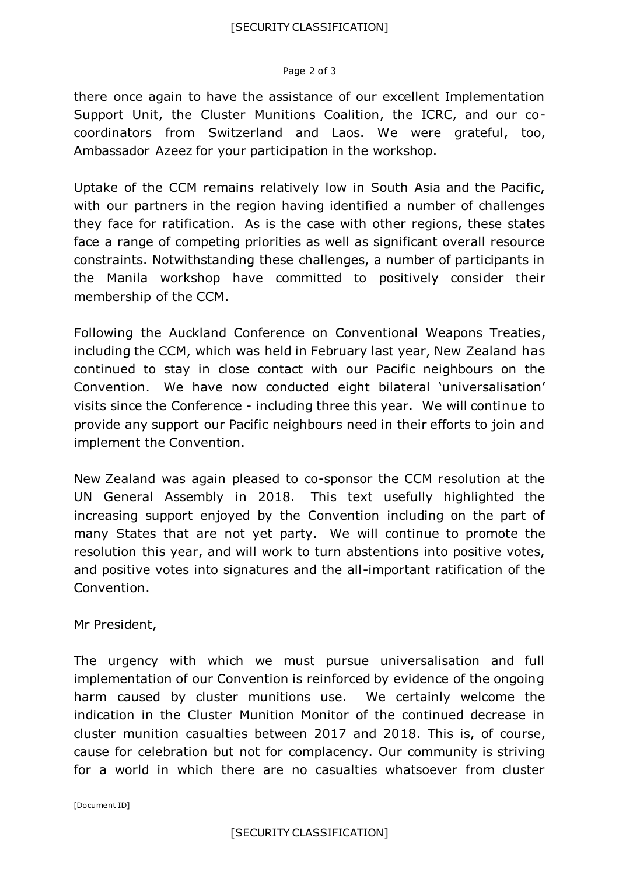## Page 2 of 3

there once again to have the assistance of our excellent Implementation Support Unit, the Cluster Munitions Coalition, the ICRC, and our cocoordinators from Switzerland and Laos. We were grateful, too, Ambassador Azeez for your participation in the workshop.

Uptake of the CCM remains relatively low in South Asia and the Pacific, with our partners in the region having identified a number of challenges they face for ratification. As is the case with other regions, these states face a range of competing priorities as well as significant overall resource constraints. Notwithstanding these challenges, a number of participants in the Manila workshop have committed to positively consider their membership of the CCM.

Following the Auckland Conference on Conventional Weapons Treaties, including the CCM, which was held in February last year, New Zealand has continued to stay in close contact with our Pacific neighbours on the Convention. We have now conducted eight bilateral 'universalisation' visits since the Conference - including three this year. We will continue to provide any support our Pacific neighbours need in their efforts to join and implement the Convention.

New Zealand was again pleased to co-sponsor the CCM resolution at the UN General Assembly in 2018. This text usefully highlighted the increasing support enjoyed by the Convention including on the part of many States that are not yet party. We will continue to promote the resolution this year, and will work to turn abstentions into positive votes, and positive votes into signatures and the all-important ratification of the Convention.

Mr President,

The urgency with which we must pursue universalisation and full implementation of our Convention is reinforced by evidence of the ongoing harm caused by cluster munitions use. We certainly welcome the indication in the Cluster Munition Monitor of the continued decrease in cluster munition casualties between 2017 and 2018. This is, of course, cause for celebration but not for complacency. Our community is striving for a world in which there are no casualties whatsoever from cluster